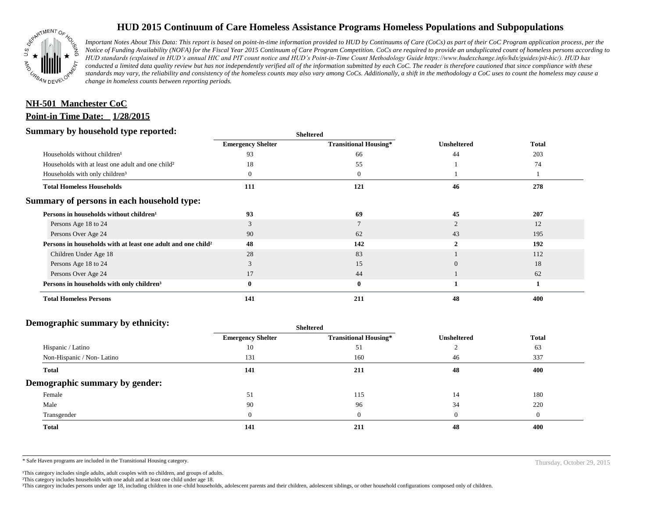

# **HUD 2015 Continuum of Care Homeless Assistance Programs Homeless Populations and Subpopulations**

*Important Notes About This Data: This report is based on point-in-time information provided to HUD by Continuums of Care (CoCs) as part of their CoC Program application process, per the Notice of Funding Availability (NOFA) for the Fiscal Year 2015 Continuum of Care Program Competition. CoCs are required to provide an unduplicated count of homeless persons according to HUD standards (explained in HUD's annual HIC and PIT count notice and HUD's Point-in-Time Count Methodology Guide https://www.hudexchange.info/hdx/guides/pit-hic/). HUD has conducted a limited data quality review but has not independently verified all of the information submitted by each CoC. The reader is therefore cautioned that since compliance with these*  standards may vary, the reliability and consistency of the homeless counts may also vary among CoCs. Additionally, a shift in the methodology a CoC uses to count the homeless may cause a *change in homeless counts between reporting periods.*

## **Point-in Time Date: 1/28/2015 NH-501 Manchester CoC**

### **Summary by household type reported:**

| эшппагу бу поизепою туре герогіесі:                                      | <b>Sheltered</b>         |                              |                    |              |
|--------------------------------------------------------------------------|--------------------------|------------------------------|--------------------|--------------|
|                                                                          | <b>Emergency Shelter</b> | <b>Transitional Housing*</b> | <b>Unsheltered</b> | <b>Total</b> |
| Households without children <sup>1</sup>                                 | 93                       | 66                           | 44                 | 203          |
| Households with at least one adult and one child <sup>2</sup>            | 18                       | 55                           |                    | 74           |
| Households with only children <sup>3</sup>                               |                          | $\theta$                     |                    |              |
| <b>Total Homeless Households</b>                                         | 111                      | 121                          | 46                 | 278          |
| Summary of persons in each household type:                               |                          |                              |                    |              |
| Persons in households without children <sup>1</sup>                      | 93                       | 69                           | 45                 | 207          |
| Persons Age 18 to 24                                                     | 3                        |                              |                    | 12           |
| Persons Over Age 24                                                      | 90                       | 62                           | 43                 | 195          |
| Persons in households with at least one adult and one child <sup>2</sup> | 48                       | 142                          |                    | 192          |
| Children Under Age 18                                                    | 28                       | 83                           |                    | 112          |
| Persons Age 18 to 24                                                     |                          | 15                           | $\Omega$           | 18           |
| Persons Over Age 24                                                      | 17                       | 44                           |                    | 62           |
| Persons in households with only children <sup>3</sup>                    | 0                        | $\bf{0}$                     |                    |              |
| <b>Total Homeless Persons</b>                                            | 141                      | 211                          | 48                 | 400          |

#### **Demographic summary by ethnicity:**

| Sneitered                |                              |                    |              |
|--------------------------|------------------------------|--------------------|--------------|
| <b>Emergency Shelter</b> | <b>Transitional Housing*</b> | <b>Unsheltered</b> | <b>Total</b> |
| 10                       | 51                           |                    | 63           |
| 131                      | 160                          | 46                 | 337          |
| 141                      | 211                          | 48                 | 400          |
|                          |                              |                    |              |
| 51                       | 115                          | 14                 | 180          |
| 90                       | 96                           | 34                 | 220          |
| $\Omega$                 | $\Omega$                     |                    | $\theta$     |
| 141                      | 211                          | 48                 | 400          |
|                          |                              |                    |              |

**Sheltered**

\* Safe Haven programs are included in the Transitional Housing category. Thursday, October 29, 2015

<sup>1</sup>This category includes single adults, adult couples with no children, and groups of adults.

²This category includes households with one adult and at least one child under age 18.

³This category includes persons under age 18, including children in one -child households, adolescent parents and their children, adolescent siblings, or other household configurations composed only of children.